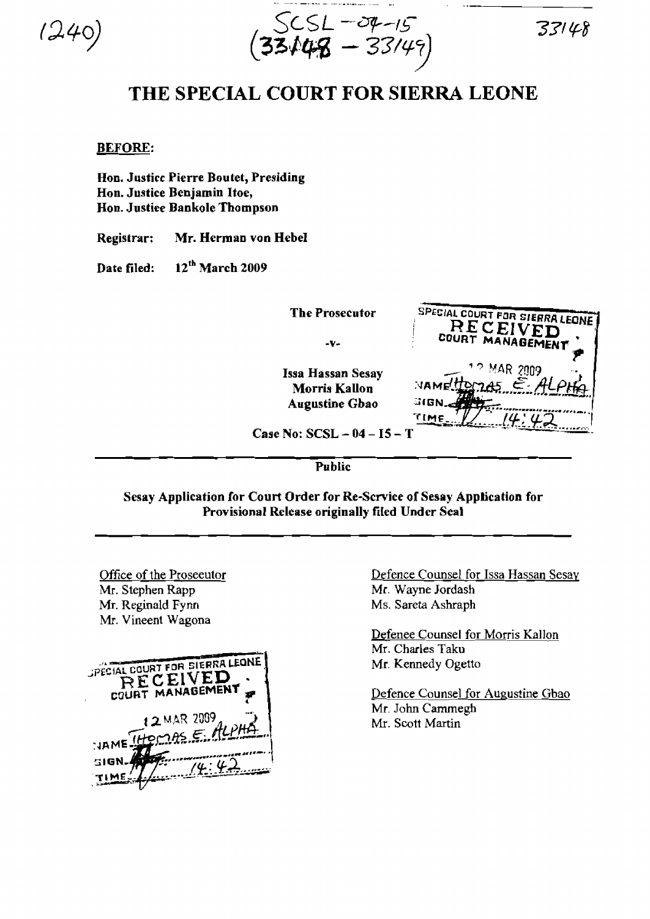$1240$ 

 $SCSL - O4 - 15$  33148  $(33448 - 33/49)$ 

## THE SPECIAL COURT FOR SIERRA LEONE

## BEFORE:

Hon. Justice Pierre Boutet, Presiding Hon. Justice Benjamin Hoe, Hon. Justiee Bankole Thompson

Registrar: Mr. Herman von Hebel

Date filed: 12<sup>th</sup> March 2009

lssa Hassan Sesay \_\_ ,., ~MR *Z009* .. Morris Kallon NAME Augustine Gbao

The Prosecutor SPECIAL COURT FOR SIERRA LEONE **RECEIVED** -v- **COURT MANAGEMENT** ".  $NAMel$   $\frac{1}{2}$   $\frac{1}{2}$   $\frac{1}{2}$   $\frac{1}{2}$   $\frac{1}{2}$  $T_{\text{IME}}$   $1/4$ ,  $42$ 

Case No: SCSL - 04 - I5 - T

**Public** 

Sesay Application for Court Order for Re-Scrvice of Sesay Application for Provisional Release originally filed Under Seal

Office of the Proseeutor Mr. Stephen Rapp Mr. Reginald Fynn Mr. Vineent Wagona



Defence Counsel for Issa Hassan Sesay Mr. Wayne Jordash Ms. Sareta Ashraph

Defenee Counsel for Morris Kallon Mr. Charles Taku Mr. Kennedy Ogetto

Defence Counsel for Augustine Gbao Mr. John Cammegh Mr. Scott Martin